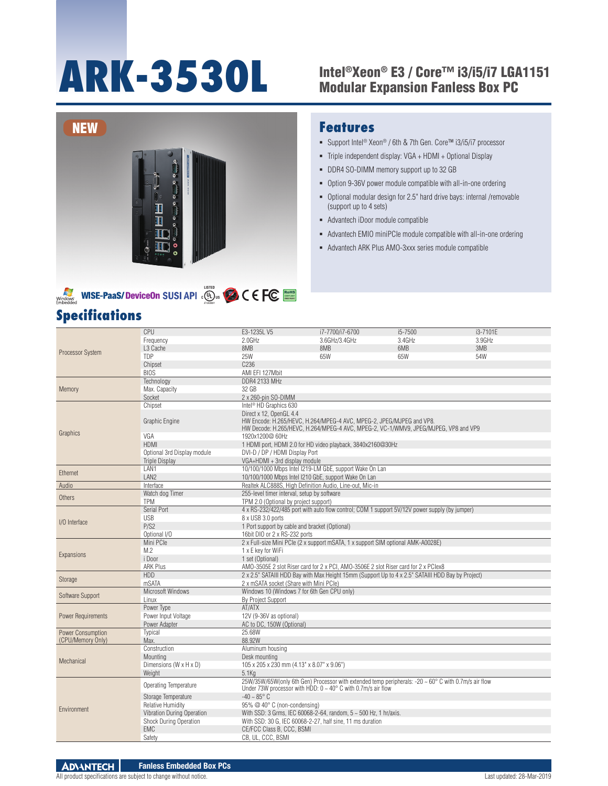# **ARK-3530L** Intel®Xeon® E3 / Core™ i3/i5/i7 LGA1151

## Modular Expansion Fanless Box PC





## **Specifications**

## **Features**

- Support Intel® Xeon® / 6th & 7th Gen. Core™ i3/i5/i7 processor
- Triple independent display: VGA + HDMI + Optional Display
- DDR4 SO-DIMM memory support up to 32 GB
- Option 9-36V power module compatible with all-in-one ordering
- Optional modular design for 2.5" hard drive bays: internal /removable (support up to 4 sets)
- Advantech iDoor module compatible
- Advantech EMIO miniPCIe module compatible with all-in-one ordering
- Advantech ARK Plus AMO-3xxx series module compatible

|                           | <b>CPU</b>                   | E3-1235L V5                                                                                                                                                                            | i7-7700/i7-6700                                                                                                                                                                  | i5-7500 | i3-7101E |  |  |  |
|---------------------------|------------------------------|----------------------------------------------------------------------------------------------------------------------------------------------------------------------------------------|----------------------------------------------------------------------------------------------------------------------------------------------------------------------------------|---------|----------|--|--|--|
|                           | Frequency                    | 2.0GHz                                                                                                                                                                                 | 3.6GHz/3.4GHz                                                                                                                                                                    | 3.4GHz  | 3.9GHz   |  |  |  |
| <b>Processor System</b>   | L <sub>3</sub> Cache         | 8MB                                                                                                                                                                                    | 8MB                                                                                                                                                                              | 6MB     | 3MB      |  |  |  |
|                           | TDP                          | 25W                                                                                                                                                                                    | 65W                                                                                                                                                                              | 65W     | 54W      |  |  |  |
|                           | Chipset                      | C <sub>236</sub>                                                                                                                                                                       |                                                                                                                                                                                  |         |          |  |  |  |
|                           | <b>BIOS</b>                  | AMI EFI 127Mbit                                                                                                                                                                        |                                                                                                                                                                                  |         |          |  |  |  |
|                           | Technology                   | <b>DDR4 2133 MHz</b>                                                                                                                                                                   |                                                                                                                                                                                  |         |          |  |  |  |
| Memory                    | Max. Capacity                | 32 GB                                                                                                                                                                                  |                                                                                                                                                                                  |         |          |  |  |  |
|                           | Socket                       | 2 x 260-pin SO-DIMM                                                                                                                                                                    |                                                                                                                                                                                  |         |          |  |  |  |
|                           | Chipset                      | Intel <sup>®</sup> HD Graphics 630                                                                                                                                                     |                                                                                                                                                                                  |         |          |  |  |  |
|                           | Graphic Engine               | Direct x 12, OpenGL 4.4<br>HW Encode: H.265/HEVC, H.264/MPEG-4 AVC, MPEG-2, JPEG/MJPEG and VP8.<br>HW Decode: H.265/HEVC, H.264/MPEG-4 AVC, MPEG-2, VC-1/WMV9, JPEG/MJPEG, VP8 and VP9 |                                                                                                                                                                                  |         |          |  |  |  |
| Graphics                  | VGA                          | 1920x1200@60Hz                                                                                                                                                                         |                                                                                                                                                                                  |         |          |  |  |  |
|                           | <b>HDMI</b>                  |                                                                                                                                                                                        | 1 HDMI port, HDMI 2.0 for HD video playback, 3840x2160@30Hz                                                                                                                      |         |          |  |  |  |
|                           | Optional 3rd Display module  | DVI-D / DP / HDMI Display Port                                                                                                                                                         |                                                                                                                                                                                  |         |          |  |  |  |
|                           | <b>Triple Display</b>        | VGA+HDMI + 3rd display module                                                                                                                                                          |                                                                                                                                                                                  |         |          |  |  |  |
| Ethernet                  | LAN1                         |                                                                                                                                                                                        | 10/100/1000 Mbps Intel I219-LM GbE, support Wake On Lan                                                                                                                          |         |          |  |  |  |
|                           | LAN <sub>2</sub>             | 10/100/1000 Mbps Intel I210 GbE, support Wake On Lan                                                                                                                                   |                                                                                                                                                                                  |         |          |  |  |  |
| Audio                     | Interface                    | Realtek ALC888S, High Definition Audio, Line-out, Mic-in                                                                                                                               |                                                                                                                                                                                  |         |          |  |  |  |
| Others                    | Watch dog Timer              | 255-level timer interval, setup by software                                                                                                                                            |                                                                                                                                                                                  |         |          |  |  |  |
|                           | <b>TPM</b>                   | TPM 2.0 (Optional by project support)                                                                                                                                                  |                                                                                                                                                                                  |         |          |  |  |  |
|                           | Serial Port                  |                                                                                                                                                                                        | 4 x RS-232/422/485 port with auto flow control; COM 1 support 5V/12V power supply (by jumper)                                                                                    |         |          |  |  |  |
| I/O Interface             | <b>USB</b>                   | 8 x USB 3.0 ports                                                                                                                                                                      |                                                                                                                                                                                  |         |          |  |  |  |
|                           | P/S2                         | 1 Port support by cable and bracket (Optional)                                                                                                                                         |                                                                                                                                                                                  |         |          |  |  |  |
|                           | Optional I/O                 | 16bit DIO or 2 x RS-232 ports                                                                                                                                                          |                                                                                                                                                                                  |         |          |  |  |  |
|                           | Mini PCle                    |                                                                                                                                                                                        | 2 x Full-size Mini PCle (2 x support mSATA, 1 x support SIM optional AMK-A0028E)                                                                                                 |         |          |  |  |  |
| Expansions                | M.2                          | 1 x E key for WiFi                                                                                                                                                                     |                                                                                                                                                                                  |         |          |  |  |  |
|                           | i Door                       | 1 set (Optional)                                                                                                                                                                       |                                                                                                                                                                                  |         |          |  |  |  |
|                           | <b>ARK Plus</b>              |                                                                                                                                                                                        | AMO-3505E 2 slot Riser card for 2 x PCI, AMO-3506E 2 slot Riser card for 2 x PClex8                                                                                              |         |          |  |  |  |
| Storage                   | <b>HDD</b>                   |                                                                                                                                                                                        | 2 x 2.5" SATAIII HDD Bay with Max Height 15mm (Support Up to 4 x 2.5" SATAIII HDD Bay by Project)                                                                                |         |          |  |  |  |
|                           | mSATA                        | 2 x mSATA socket (Share with Mini PCle)                                                                                                                                                |                                                                                                                                                                                  |         |          |  |  |  |
| Software Support          | Microsoft Windows            | Windows 10 (Windows 7 for 6th Gen CPU only)                                                                                                                                            |                                                                                                                                                                                  |         |          |  |  |  |
|                           | Linux                        | <b>By Project Support</b>                                                                                                                                                              |                                                                                                                                                                                  |         |          |  |  |  |
|                           | Power Type                   | AT/ATX                                                                                                                                                                                 |                                                                                                                                                                                  |         |          |  |  |  |
| <b>Power Requirements</b> | Power Input Voltage          | 12V (9-36V as optional)                                                                                                                                                                |                                                                                                                                                                                  |         |          |  |  |  |
|                           | Power Adapter                | AC to DC, 150W (Optional)                                                                                                                                                              |                                                                                                                                                                                  |         |          |  |  |  |
| Power Consumption         | Typical                      | 25.68W                                                                                                                                                                                 |                                                                                                                                                                                  |         |          |  |  |  |
| (CPU/Memory Only)         | Max.                         | 88.92W                                                                                                                                                                                 |                                                                                                                                                                                  |         |          |  |  |  |
|                           | Construction                 | Aluminum housing                                                                                                                                                                       |                                                                                                                                                                                  |         |          |  |  |  |
| Mechanical                | Mounting                     | Desk mounting                                                                                                                                                                          |                                                                                                                                                                                  |         |          |  |  |  |
|                           | Dimensions (W x H x D)       | 105 x 205 x 230 mm (4.13" x 8.07" x 9.06")                                                                                                                                             |                                                                                                                                                                                  |         |          |  |  |  |
|                           | Weight                       | $5.1$ Ka                                                                                                                                                                               |                                                                                                                                                                                  |         |          |  |  |  |
|                           | <b>Operating Temperature</b> |                                                                                                                                                                                        | 25W/35W/65W(only 6th Gen) Processor with extended temp peripherals: -20 ~ 60° C with 0.7m/s air flow<br>Under 73W processor with HDD: $0 \sim 40^{\circ}$ C with 0.7m/s air flow |         |          |  |  |  |
|                           | Storage Temperature          | $-40 - 85^{\circ}$ C                                                                                                                                                                   |                                                                                                                                                                                  |         |          |  |  |  |
| Environment               | <b>Relative Humidity</b>     | 95% @ 40° C (non-condensing)                                                                                                                                                           |                                                                                                                                                                                  |         |          |  |  |  |
|                           | Vibration During Operation   |                                                                                                                                                                                        | With SSD: 3 Grms, IEC 60068-2-64, random, 5 ~ 500 Hz, 1 hr/axis.                                                                                                                 |         |          |  |  |  |
|                           | Shock During Operation       | With SSD: 30 G, IEC 60068-2-27, half sine, 11 ms duration                                                                                                                              |                                                                                                                                                                                  |         |          |  |  |  |
|                           | EMC                          | CE/FCC Class B, CCC, BSMI                                                                                                                                                              |                                                                                                                                                                                  |         |          |  |  |  |
|                           | Safety                       | CB, UL, CCC, BSMI                                                                                                                                                                      |                                                                                                                                                                                  |         |          |  |  |  |

**ADVANTECH Fanless Embedded Box PCs**

#### All product specifications are subject to change without notice. Last updated: 28-Mar-2019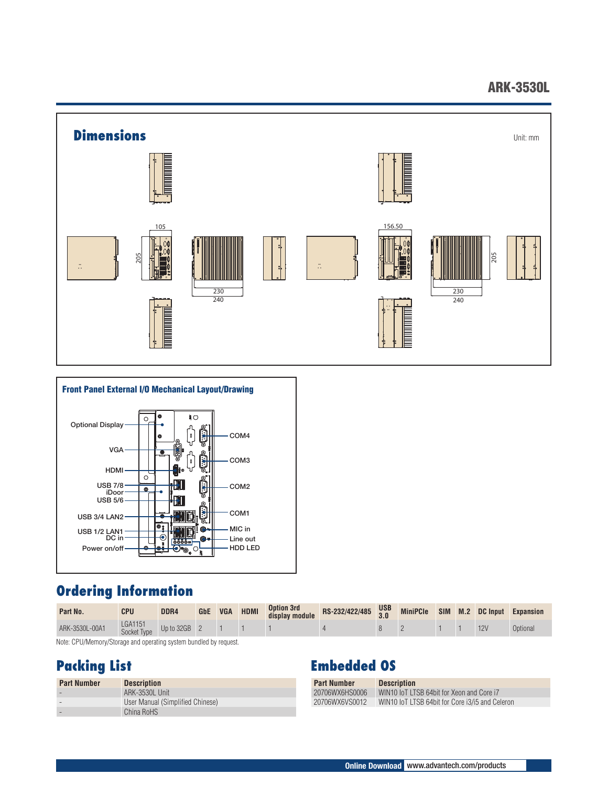## ARK-3530L





## **Ordering Information**

| Part No.       | <b>CPU</b>             | DDR4         | <b>GbE</b> | <b>VGA</b> | <b>HDMI</b> | <b>Option 3rd</b><br>display module | RS-232/422/485 USB | <b>MiniPCle</b> |  | SIM M.2 DC Input | <b>Expansion</b> |
|----------------|------------------------|--------------|------------|------------|-------------|-------------------------------------|--------------------|-----------------|--|------------------|------------------|
| ARK-3530L-00A1 | LGA1151<br>Socket Type | Up to 32GB 2 |            |            |             |                                     |                    |                 |  |                  | Optional         |

Note: CPU/Memory/Storage and operating system bundled by request.

## **Packing List**

| <b>Part Number</b> | <b>Description</b>               |
|--------------------|----------------------------------|
|                    | ARK-3530L Unit                   |
|                    | User Manual (Simplified Chinese) |
|                    | China RoHS                       |

## **Embedded OS**

| <b>Part Number</b> | <b>Description</b>                              |
|--------------------|-------------------------------------------------|
| 20706WX6HS0006     | WIN10 IoT LTSB 64bit for Xeon and Core i7       |
| 20706WX6VS0012     | WIN10 IoT LTSB 64bit for Core i3/i5 and Celeron |